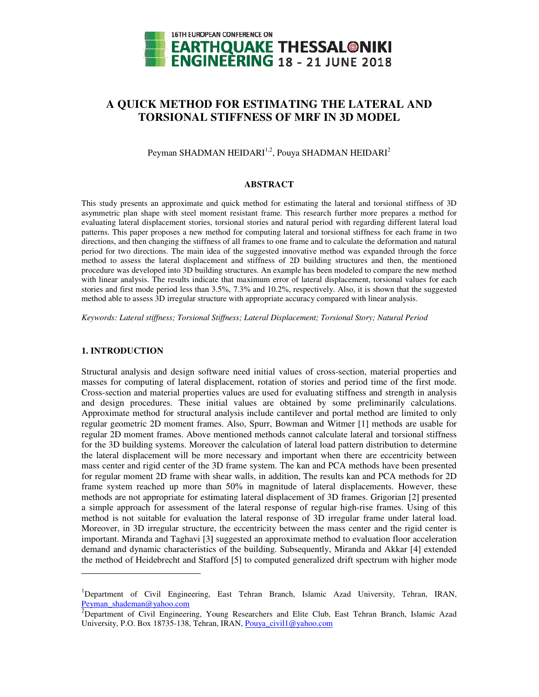

# **A QUICK METHOD FOR E QUICK METHOD ESTIMATING THE LATERAL AND L AND TORSIONAL STIFFNESS OF MRF IN 3D MODEL**

Peyman SHADMAN HEIDARI $^{1,2}$ , Pouya SHADMAN HEIDARI $^{2}$ 

## **ABSTRACT**

This study presents an approximate and quick method for estimating the lateral and torsional stiffness of 3D This study presents an approximate and quick method for estimating the lateral and torsional stiffness of 3D asymmetric plan shape with steel moment resistant frame. This research further more prepares a method for evaluating lateral displacement stories, torsional stories and natural period with regarding different lateral load patterns. This paper proposes a new method for computing lateral and torsional stiffness for each frame in two directions, and then changing the stiffness of all frames to one frame and to calculate the deformation and natural period for two directions. The main idea of the suggested innovative method was expanded through the force method to assess the lateral displacement and stiffness of 2D building structures and then procedure was developed into 3D building structures. An example has been modeled to compare the new method with linear analysis. The results indicate that maximum error of lateral displacement, torsional values for each stories and first mode period less than 3.5%, 7.3% and 10.2%, respectively. Also, it is shown that the suggested method able to assess 3D irregular structure with appropriate accuracy compared with linear analysis. ing lateral and torsional stiffness for each frame in two<br>o one frame and to calculate the deformation and natural<br>ted innovative method was expanded through the force<br>ss of 2D building structures and then, the mentioned

*Keywords: Lateral stiffness; Torsional S Stiffness; Lateral Displacement; Torsional Story; Natural atural Period*

## **1. INTRODUCTION**

 $\overline{a}$ 

Structural analysis and design software need initial values of cross-section, material properties and masses for computing of lateral displacement, rotation of stories and period time of the first mode. Cross-section and material properties values are used for evaluating stiffness and strength in analysis and design procedures. These initial values are obtained by some preliminarily calculations and design procedures. These initial values are obtained by some preliminarily calculations.<br>Approximate method for structural analysis include cantilever and portal method are limited to only regular geometric 2D moment frames. Also, Spurr, Bowman and Witmer [1] methods are usable for regular 2D moment frames. Above mentioned methods cannot calculate lateral and torsional stiffness for the 3D building systems. Moreover the calculation of lateral load pattern distribution to determine the lateral displacement will be more necessary and important when there are eccentricity between mass center and rigid center of the 3D frame system. The kan and PCA methods have been presented for regular moment 2D frame with shear walls, in addition, The results kan and PCA methods for 2D frame system reached up more than 50% in magnitude of lateral displacements. However, these methods are not appropriate for estimating lateral displacement of 3D frames. Grigorian [2] presented a simple approach for assessment of the lateral response of regular high-rise frames. Using of this method is not suitable for evaluation the lateral response of 3D irregular frame under lateral load. Moreover, in 3D irregular structure, the eccentricity between the mass center and the rigid center is important. Miranda and Taghavi [3] ] suggested an approximate method to evaluation floor acceleration demand and dynamic characteristics of the building. Subsequently, Miranda and Akkar the method of Heidebrecht and Stafford Stafford [5] to computed generalized drift spectrum with higher mode or the calculation of lateral load pattern distribution<br>ore necessary and important when there are eccen<br>3D frame system. The kan and PCA methods have teral displacement, rotation of stories and period time of the first mode.<br>properties values are used for evaluating stiffness and strength in analysis<br>hese initial values are obtained by some preliminarily calculations. regular geometric 2D moment frames. Also, Spurr, Bowman and Witmer [1] methods are usable for<br>regular 2D moment frames. Above mentioned methods cannot calculate lateral and torsional stiffness<br>for the 3D building systems. eccentricity between the mass center and the rigid center is<br>ested an approximate method to evaluation floor acceleration<br>he building. Subsequently, Miranda and Akkar [4] extended

<sup>&</sup>lt;sup>1</sup>Department of Civil Engineering, East Tehran Branch, Islamic Azad University, Tehran, IRAN, Peyman\_shademan@yahoo.com

 $2$ Department of Civil Engineering, Young Researchers and Elite Club, East Tehran Branch, Islamic Azad University, P.O. Box 18735-138, Tehran, IRAN, Pouya\_civil1@yahoo.com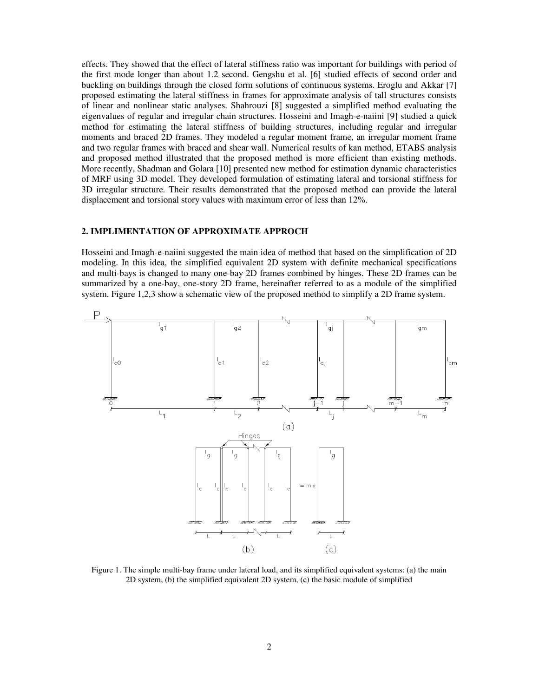effects. They showed that the effect of lateral stiffness ratio was important for buildings with period of the first mode longer than about 1.2 second. Gengshu et al. [6] studied effects of second order and buckling on buildings through the closed form solutions of continuous systems. Eroglu and Akkar [7] proposed estimating the lateral stiffness in frames for approximate analysis of tall structures consists of linear and nonlinear static analyses. Shahrouzi [8] suggested a simplified method evaluating the eigenvalues of regular and irregular chain structures. Hosseini and Imagh-e-naiini [9] studied a quick method for estimating the lateral stiffness of building structures, including regular and irregular moments and braced 2D frames. They modeled a regular moment frame, an irregular moment frame and two regular frames with braced and shear wall. Numerical results of kan method, ETABS analysis and proposed method illustrated that the proposed method is more efficient than existing methods. More recently, Shadman and Golara [10] presented new method for estimation dynamic characteristics of MRF using 3D model. They developed formulation of estimating lateral and torsional stiffness for 3D irregular structure. Their results demonstrated that the proposed method can provide the lateral displacement and torsional story values with maximum error of less than 12%.

#### **2. IMPLIMENTATION OF APPROXIMATE APPROCH**

Hosseini and Imagh-e-naiini suggested the main idea of method that based on the simplification of 2D modeling. In this idea, the simplified equivalent 2D system with definite mechanical specifications and multi-bays is changed to many one-bay 2D frames combined by hinges. These 2D frames can be summarized by a one-bay, one-story 2D frame, hereinafter referred to as a module of the simplified system. Figure 1,2,3 show a schematic view of the proposed method to simplify a 2D frame system.



Figure 1. The simple multi-bay frame under lateral load, and its simplified equivalent systems: (a) the main 2D system, (b) the simplified equivalent 2D system, (c) the basic module of simplified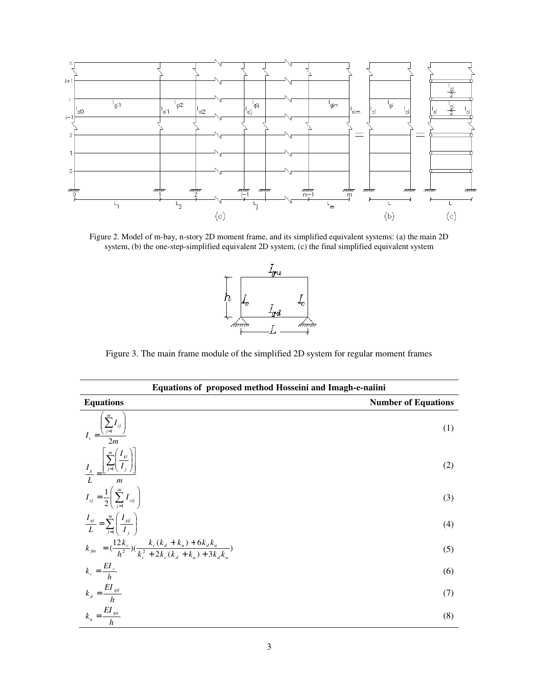

Figure 2. Model of m-bay, n-story 2D moment frame, and its simplified equivalent systems: (a) the main 2D system, (b) the one-step-simplified equivalent 2D system, (c) the final simplified equivalent system



Figure 3. The main frame module of the simplified 2D system for regular moment frames

| Equations of proposed method Hosseini and Imagh-e-naiini                                                                                                                                                                                                                                                                                                                                                    |                            |  |  |  |  |
|-------------------------------------------------------------------------------------------------------------------------------------------------------------------------------------------------------------------------------------------------------------------------------------------------------------------------------------------------------------------------------------------------------------|----------------------------|--|--|--|--|
| <b>Equations</b>                                                                                                                                                                                                                                                                                                                                                                                            | <b>Number of Equations</b> |  |  |  |  |
| $I_c = \frac{\left(\sum_{j=1}^{m} I_{cj}\right)}{2m}$                                                                                                                                                                                                                                                                                                                                                       | (1)                        |  |  |  |  |
| $\frac{I_s}{L} = \frac{\left\lfloor \sum_{j=1}^m \left( \frac{I_{gi}}{I_j} \right) \right\rfloor}{L}$                                                                                                                                                                                                                                                                                                       | (2)                        |  |  |  |  |
| $I_{cj} = \frac{1}{2} \left( \sum_{i=1}^{m} I_{cij} \right)$                                                                                                                                                                                                                                                                                                                                                | (3)                        |  |  |  |  |
| $\frac{I_{gi}}{L} = \sum_{i=1}^{m} \left( \frac{I_{gij}}{I_i} \right)$                                                                                                                                                                                                                                                                                                                                      | (4)                        |  |  |  |  |
| $k_{\scriptscriptstyle{fm}} = \left(\frac{12k_{\scriptscriptstyle{c}}}{h^2}\right)\left(\frac{k_{\scriptscriptstyle{c}}(k_{\scriptscriptstyle{d}}+k_{\scriptscriptstyle{u}})+6k_{\scriptscriptstyle{d}}k_{\scriptscriptstyle{u}}}{k_{\scriptscriptstyle{e}}^2+2k_{\scriptscriptstyle{e}}(k_{\scriptscriptstyle{e}}+k_{\scriptscriptstyle{e}})+3k_{\scriptscriptstyle{e}}k_{\scriptscriptstyle{e}}} \right)$ | (5)                        |  |  |  |  |
| $k_c = \frac{EI_c}{h}$                                                                                                                                                                                                                                                                                                                                                                                      | (6)                        |  |  |  |  |
| $k_d = \frac{EI_{gd}}{h}$                                                                                                                                                                                                                                                                                                                                                                                   | (7)                        |  |  |  |  |
| $k_u = \frac{EI_{gu}}{h_{-}}$                                                                                                                                                                                                                                                                                                                                                                               | (8)                        |  |  |  |  |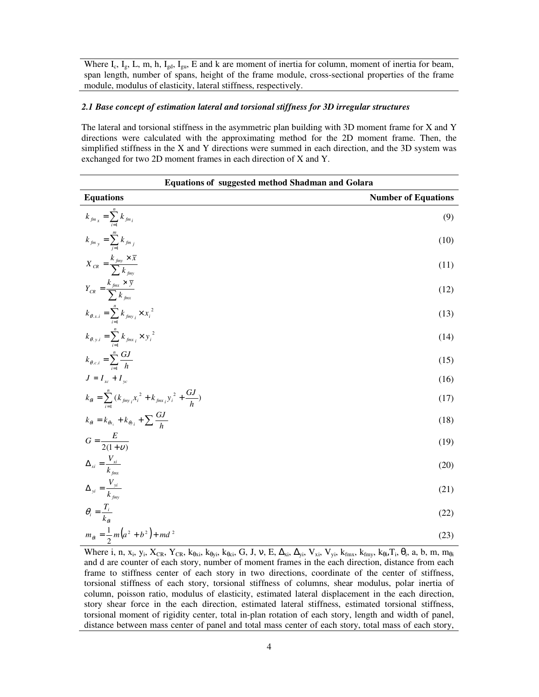Where  $I_c$ ,  $I_g$ , L, m, h,  $I_{gd}$ ,  $I_{gu}$ , E and k are moment of inertia for column, moment of inertia for beam, span length, number of spans, height of the frame module, cross-sectional properties of the frame module, modulus of elasticity, lateral stiffness, respectively.

# *2.1 Base concept of estimation lateral and torsional stiffness for 3D irregular structures*

The lateral and torsional stiffness in the asymmetric plan building with 3D moment frame for X and Y directions were calculated with the approximating method for the 2D moment frame. Then, the simplified stiffness in the X and Y directions were summed in each direction, and the 3D system was exchanged for two 2D moment frames in each direction of X and Y.

| <b>Equations of suggested method Shadman and Golara</b>                                |                            |  |  |  |
|----------------------------------------------------------------------------------------|----------------------------|--|--|--|
| <b>Equations</b>                                                                       | <b>Number of Equations</b> |  |  |  |
| $k_{f_{m_x}} = \sum_{i=1}^{n} k_{f_{m_i}}$                                             | (9)                        |  |  |  |
| $k_{fm}$ = $\sum_{i=1}^{m} k_{fm}$                                                     | (10)                       |  |  |  |
| $X_{CR} = \frac{k_{fmy} \times \bar{x}}{\sum k_{fmv}}$                                 | (11)                       |  |  |  |
| $Y_{CR} = \frac{k_{\text{finx}} \times \overline{y}}{\sum_{k_{\text{finx}}}}$          | (12)                       |  |  |  |
| $k_{\theta.x.i} = \sum_{i=1}^{n} k_{jmy_i} \times x_i^{2}$                             | (13)                       |  |  |  |
| $k_{\theta,y,i} = \sum_{i=1}^{n} k_{fmx_i} \times y_i^{2}$                             | (14)                       |  |  |  |
| $k_{\theta.c.i} = \sum_{i=1}^{n} \frac{GJ}{h}$                                         | (15)                       |  |  |  |
| $J = I_{xc} + I_{yc}$                                                                  | (16)                       |  |  |  |
| $k_{\theta i} = \sum_{i=1}^{n} (k_{f m y_i} x_i^2 + k_{f m x_i} y_i^2 + \frac{GJ}{h})$ | (17)                       |  |  |  |
| $k_{\theta i} = k_{\theta x_i} + k_{\theta y_i} + \sum_{i} \frac{GJ}{h}$               | (18)                       |  |  |  |
| $G = \frac{E}{2(1+v)}$                                                                 | (19)                       |  |  |  |
| $\Delta_{xi} = \frac{V_{xi}}{k_{em}}$                                                  | (20)                       |  |  |  |
| $\Delta_{yi} = \frac{V_{yi}}{k_{fmv}}$                                                 | (21)                       |  |  |  |
| $\theta_i = \frac{T_i}{k_{\infty}}$                                                    | (22)                       |  |  |  |
| $m_{\theta i} = \frac{1}{2} m (a^2 + b^2) + m d^2$                                     | (23)                       |  |  |  |

Where i, n, x<sub>i</sub>, y<sub>i</sub>, X<sub>CR</sub>, Y<sub>CR</sub>, k<sub>θxi</sub>, k<sub>θyi</sub>, k<sub>θci</sub>, G, J, v, E,  $\Delta_{xi}$ ,  $\Delta_{yi}$ , V<sub>xi</sub>, V<sub>yi</sub>, k<sub>fmx</sub>, k<sub>fmy</sub>, k<sub>θi</sub>, T<sub>i</sub>, θ<sub>i</sub>, a, b, m, m<sub>θi</sub> and d are counter of each story, number of moment frames in the each direction, distance from each frame to stiffness center of each story in two directions, coordinate of the center of stiffness, torsional stiffness of each story, torsional stiffness of columns, shear modulus, polar inertia of column, poisson ratio, modulus of elasticity, estimated lateral displacement in the each direction, story shear force in the each direction, estimated lateral stiffness, estimated torsional stiffness, torsional moment of rigidity center, total in-plan rotation of each story, length and width of panel, distance between mass center of panel and total mass center of each story, total mass of each story,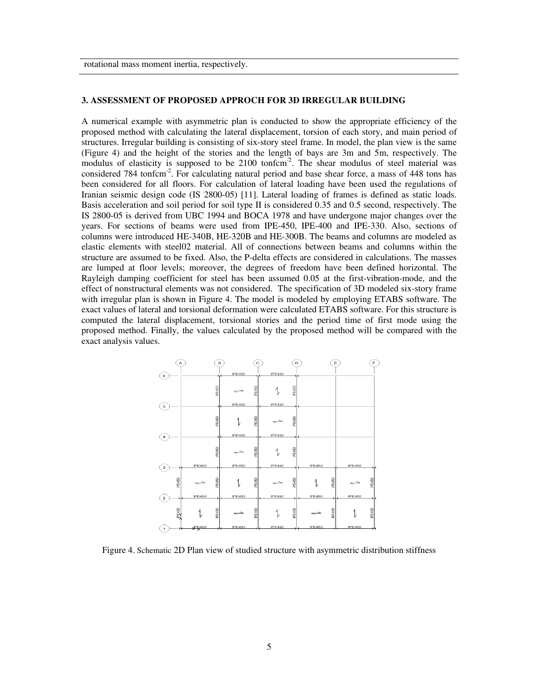rotational mass moment inertia, respectively.

#### **3. ASSESSMENT OF PROPOSED APPROCH FOR 3D IRREGULAR BUILDING**

A numerical example with asymmetric plan is conducted to show the appropriate efficiency of the proposed method with calculating the lateral displacement, torsion of each story, and main period of structures. Irregular building is consisting of six-story steel frame. In model, the plan view is the same (Figure 4) and the height of the stories and the length of bays are 3m and 5m, respectively. The modulus of elasticity is supposed to be 2100 tonfcm<sup>-2</sup>. The shear modulus of steel material was considered 784 tonfcm-2. For calculating natural period and base shear force, a mass of 448 tons has been considered for all floors. For calculation of lateral loading have been used the regulations of Iranian seismic design code (IS 2800-05) [11]. Lateral loading of frames is defined as static loads. Basis acceleration and soil period for soil type II is considered 0.35 and 0.5 second, respectively. The IS 2800-05 is derived from UBC 1994 and BOCA 1978 and have undergone major changes over the years. For sections of beams were used from IPE-450, IPE-400 and IPE-330. Also, sections of columns were introduced HE-340B, HE-320B and HE-300B. The beams and columns are modeled as elastic elements with steel02 material. All of connections between beams and columns within the structure are assumed to be fixed. Also, the P-delta effects are considered in calculations. The masses are lumped at floor levels; moreover, the degrees of freedom have been defined horizontal. The Rayleigh damping coefficient for steel has been assumed 0.05 at the first-vibration-mode, and the effect of nonstructural elements was not considered. The specification of 3D modeled six-story frame with irregular plan is shown in Figure 4. The model is modeled by employing ETABS software. The exact values of lateral and torsional deformation were calculated ETABS software. For this structure is computed the lateral displacement, torsional stories and the period time of first mode using the proposed method. Finally, the values calculated by the proposed method will be compared with the exact analysis values.



Figure 4. Schematic 2D Plan view of studied structure with asymmetric distribution stiffness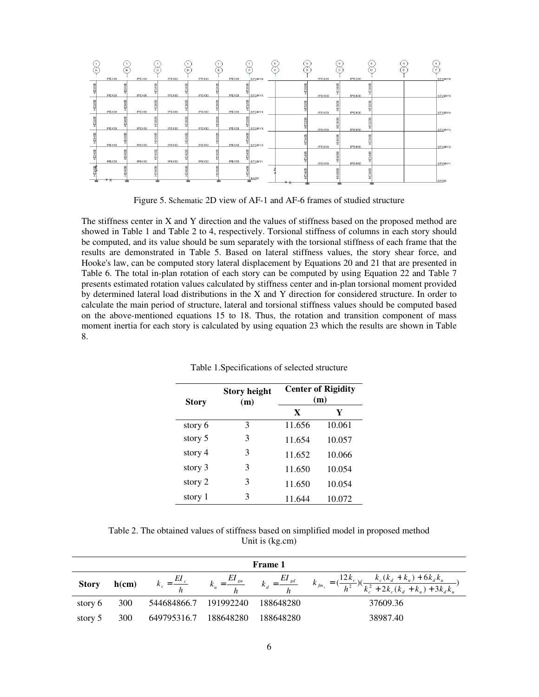

Figure 5. Schematic 2D view of AF-1 and AF-6 frames of studied structure

The stiffness center in X and Y direction and the values of stiffness based on the proposed method are showed in Table 1 and Table 2 to 4, respectively. Torsional stiffness of columns in each story should be computed, and its value should be sum separately with the torsional stiffness of each frame that the results are demonstrated in Table 5. Based on lateral stiffness values, the story shear force, and Hooke's law, can be computed story lateral displacement by Equations 20 and 21 that are presented in Table 6. The total in-plan rotation of each story can be computed by using Equation 22 and Table 7 presents estimated rotation values calculated by stiffness center and in-plan torsional moment provided by determined lateral load distributions in the X and Y direction for considered structure. In order to calculate the main period of structure, lateral and torsional stiffness values should be computed based on the above-mentioned equations 15 to 18. Thus, the rotation and transition component of mass moment inertia for each story is calculated by using equation 23 which the results are shown in Table 8.

| <b>Story</b> | <b>Story height</b><br>(m) |             | <b>Center of Rigidity</b><br>(m) |
|--------------|----------------------------|-------------|----------------------------------|
|              |                            | $\mathbf x$ | Y                                |
| story 6      | 3                          | 11.656      | 10.061                           |
| story 5      | 3                          | 11.654      | 10.057                           |
| story 4      | 3                          | 11.652      | 10.066                           |
| story 3      | 3                          | 11.650      | 10.054                           |
| story 2      | 3                          | 11.650      | 10.054                           |
| story 1      | 3                          | 11.644      | 10.072                           |

Table 1.Specifications of selected structure

Table 2. The obtained values of stiffness based on simplified model in proposed method Unit is (kg.cm)

|              | <b>Frame 1</b> |                       |                           |           |                                                                                                                                                                |  |  |  |  |  |  |
|--------------|----------------|-----------------------|---------------------------|-----------|----------------------------------------------------------------------------------------------------------------------------------------------------------------|--|--|--|--|--|--|
| <b>Story</b> | h(cm)          |                       | $k_u = \frac{EI_{gu}}{h}$ |           | $k_{d} = \frac{EI_{gd}}{h} \qquad k_{\hat{m}_{x}} = (\frac{12k_{c}}{h^{2}})(\frac{k_{c}(k_{d}+k_{u})+6k_{d}k_{u}}{k_{c}^{2}+2k_{c}(k_{d}+k_{u})+3k_{d}k_{u}})$ |  |  |  |  |  |  |
| story 6      | 300            | 544684866.7 191992240 |                           | 188648280 | 37609.36                                                                                                                                                       |  |  |  |  |  |  |
| story 5      | 300            | 649795316.7           | 188648280                 | 188648280 | 38987.40                                                                                                                                                       |  |  |  |  |  |  |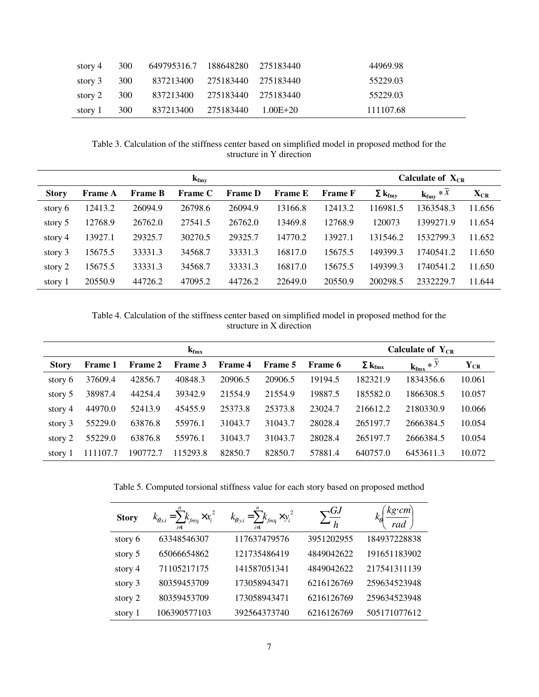| story 4              | 300   | 649795316.7 188648280 275183440 |  | 44969.98  |
|----------------------|-------|---------------------------------|--|-----------|
| story 3              | - 300 | 837213400 275183440 275183440   |  | 55229.03  |
| story $2 \qquad 300$ |       | 837213400 275183440 275183440   |  | 55229.03  |
| story $1 \quad 300$  |       | 837213400 275183440 1.00E+20    |  | 111107.68 |

Table 3. Calculation of the stiffness center based on simplified model in proposed method for the structure in Y direction

| $\mathbf{k}_{\text{fmy}}$ |                |                |                |                |                |                |                           | Calculate of $X_{CR}$ |          |
|---------------------------|----------------|----------------|----------------|----------------|----------------|----------------|---------------------------|-----------------------|----------|
| <b>Story</b>              | <b>Frame A</b> | <b>Frame B</b> | <b>Frame C</b> | <b>Frame D</b> | <b>Frame E</b> | <b>Frame F</b> | $\Sigma$ k <sub>fmy</sub> | $k_{\text{fmv}} * x$  | $X_{CR}$ |
| story 6                   | 12413.2        | 26094.9        | 26798.6        | 26094.9        | 13166.8        | 12413.2        | 116981.5                  | 1363548.3             | 11.656   |
| story 5                   | 12768.9        | 26762.0        | 27541.5        | 26762.0        | 13469.8        | 12768.9        | 120073                    | 1399271.9             | 11.654   |
| story 4                   | 13927.1        | 29325.7        | 30270.5        | 29325.7        | 14770.2        | 13927.1        | 131546.2                  | 1532799.3             | 11.652   |
| story 3                   | 15675.5        | 33331.3        | 34568.7        | 33331.3        | 16817.0        | 15675.5        | 149399.3                  | 1740541.2             | 11.650   |
| story 2                   | 15675.5        | 33331.3        | 34568.7        | 33331.3        | 16817.0        | 15675.5        | 149399.3                  | 1740541.2             | 11.650   |
| story 1                   | 20550.9        | 44726.2        | 47095.2        | 44726.2        | 22649.0        | 20550.9        | 200298.5                  | 2332229.7             | 11.644   |

Table 4. Calculation of the stiffness center based on simplified model in proposed method for the structure in X direction

| $k_{\rm{fmx}}$ |                |                |          |         |                |                |                           | Calculate of $Y_{CR}$ |                |
|----------------|----------------|----------------|----------|---------|----------------|----------------|---------------------------|-----------------------|----------------|
| <b>Story</b>   | <b>Frame 1</b> | <b>Frame 2</b> | Frame 3  | Frame 4 | <b>Frame 5</b> | <b>Frame 6</b> | $\Sigma$ k <sub>fmx</sub> | $k_{\text{fmx}} * Y$  | ${\rm Y_{CR}}$ |
| story 6        | 37609.4        | 42856.7        | 40848.3  | 20906.5 | 20906.5        | 19194.5        | 182321.9                  | 1834356.6             | 10.061         |
| story 5        | 38987.4        | 44254.4        | 39342.9  | 21554.9 | 21554.9        | 19887.5        | 185582.0                  | 1866308.5             | 10.057         |
| story 4        | 44970.0        | 52413.9        | 45455.9  | 25373.8 | 25373.8        | 23024.7        | 216612.2                  | 2180330.9             | 10.066         |
| story 3        | 55229.0        | 63876.8        | 55976.1  | 31043.7 | 31043.7        | 28028.4        | 265197.7                  | 2666384.5             | 10.054         |
| story 2        | 55229.0        | 63876.8        | 55976.1  | 31043.7 | 31043.7        | 28028.4        | 265197.7                  | 2666384.5             | 10.054         |
| story 1        | 111107.7       | 190772.7       | 115293.8 | 82850.7 | 82850.7        | 57881.4        | 640757.0                  | 6453611.3             | 10.072         |

Table 5. Computed torsional stiffness value for each story based on proposed method

| <b>Story</b> | $k_{\theta x,i} = \sum k_{fmy_i} \times x_i^2$<br>$i=1$ | $k_{\theta y,i} = \sum k_{fmx} \times y_i^2$<br>$i=1$ | $\bigtriangledown GJ$ | $kg\cdot cm$<br>rad |
|--------------|---------------------------------------------------------|-------------------------------------------------------|-----------------------|---------------------|
| story 6      | 63348546307                                             | 117637479576                                          | 3951202955            | 184937228838        |
| story 5      | 65066654862                                             | 121735486419                                          | 4849042622            | 191651183902        |
| story 4      | 71105217175                                             | 141587051341                                          | 4849042622            | 217541311139        |
| story 3      | 80359453709                                             | 173058943471                                          | 6216126769            | 259634523948        |
| story 2      | 80359453709                                             | 173058943471                                          | 6216126769            | 259634523948        |
| story 1      | 106390577103                                            | 392564373740                                          | 6216126769            | 505171077612        |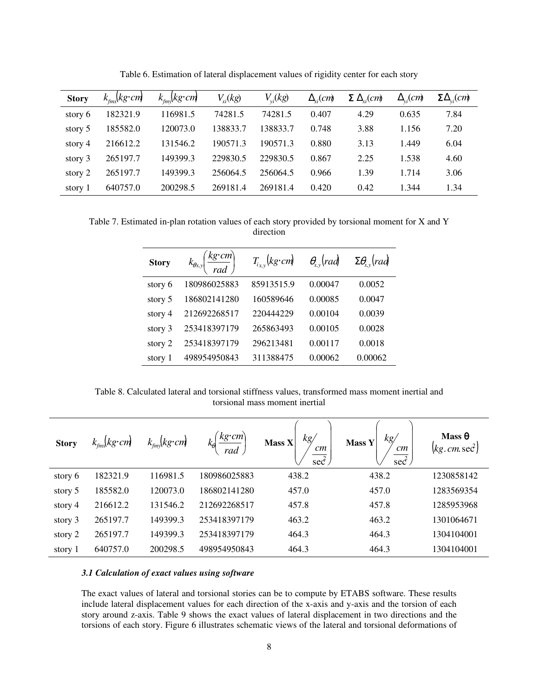| <b>Story</b> | $k_{\rm{fnn}}$ (kg·cm) | $k_{\text{fmv}}$ (kg·cm) | $V_{xi}(kg)$ | $V_{vi}(kg)$ | $\Delta_{\rm r}/\rm cm$ | $\Sigma \Delta_{vi}(cm)$ | $\Delta_{\rm vi}(cm)$ | $\Sigma \Delta_{vi}(cm)$ |
|--------------|------------------------|--------------------------|--------------|--------------|-------------------------|--------------------------|-----------------------|--------------------------|
| story 6      | 182321.9               | 116981.5                 | 74281.5      | 74281.5      | 0.407                   | 4.29                     | 0.635                 | 7.84                     |
| story 5      | 185582.0               | 120073.0                 | 138833.7     | 138833.7     | 0.748                   | 3.88                     | 1.156                 | 7.20                     |
| story 4      | 216612.2               | 131546.2                 | 190571.3     | 190571.3     | 0.880                   | 3.13                     | 1.449                 | 6.04                     |
| story 3      | 265197.7               | 149399.3                 | 229830.5     | 229830.5     | 0.867                   | 2.25                     | 1.538                 | 4.60                     |
| story 2      | 265197.7               | 149399.3                 | 256064.5     | 256064.5     | 0.966                   | 1.39                     | 1.714                 | 3.06                     |
| story 1      | 640757.0               | 200298.5                 | 269181.4     | 269181.4     | 0.420                   | 0.42                     | 1.344                 | 1.34                     |

Table 6. Estimation of lateral displacement values of rigidity center for each story

Table 7. Estimated in-plan rotation values of each story provided by torsional moment for X and Y direction

| <b>Story</b> | $\left(\frac{kg\cdot cm}{rad}\right)$<br>$k_{\theta x, y}$ | $T_{i_{x,y}}(kg \cdot cm)$ | $\theta_{xy}(rad)$ | $\Sigma \theta_{\rm rv}$ rad |
|--------------|------------------------------------------------------------|----------------------------|--------------------|------------------------------|
| story 6      | 180986025883                                               | 85913515.9                 | 0.00047            | 0.0052                       |
| story 5      | 186802141280                                               | 160589646                  | 0.00085            | 0.0047                       |
| story 4      | 212692268517                                               | 220444229                  | 0.00104            | 0.0039                       |
| story 3      | 253418397179                                               | 265863493                  | 0.00105            | 0.0028                       |
| story 2      | 253418397179                                               | 296213481                  | 0.00117            | 0.0018                       |
| story 1      | 498954950843                                               | 311388475                  | 0.00062            | 0.00062                      |

Table 8. Calculated lateral and torsional stiffness values, transformed mass moment inertial and torsional mass moment inertial

| <b>Story</b> | $k_{\rm max}$ (kg·cm) | $k_{\rm{fnn}}(kg \cdot cm)$ | $kg \cdot cm$<br>rad | $\mathit{kg}/$<br>Mass X<br>cm<br>$\sec^2$ | kg/<br>Mass Y<br>cm<br>$\sec^2$ | Mass $\theta$<br>$(kg.cm. \text{sec}^2)$ |
|--------------|-----------------------|-----------------------------|----------------------|--------------------------------------------|---------------------------------|------------------------------------------|
| story 6      | 182321.9              | 116981.5                    | 180986025883         | 438.2                                      | 438.2                           | 1230858142                               |
| story 5      | 185582.0              | 120073.0                    | 186802141280         | 457.0                                      | 457.0                           | 1283569354                               |
| story 4      | 216612.2              | 131546.2                    | 212692268517         | 457.8                                      | 457.8                           | 1285953968                               |
| story 3      | 265197.7              | 149399.3                    | 253418397179         | 463.2                                      | 463.2                           | 1301064671                               |
| story 2      | 265197.7              | 149399.3                    | 253418397179         | 464.3                                      | 464.3                           | 1304104001                               |
| story 1      | 640757.0              | 200298.5                    | 498954950843         | 464.3                                      | 464.3                           | 1304104001                               |

#### *3.1 Calculation of exact values using software*

The exact values of lateral and torsional stories can be to compute by ETABS software. These results include lateral displacement values for each direction of the x-axis and y-axis and the torsion of each story around z-axis. Table 9 shows the exact values of lateral displacement in two directions and the torsions of each story. Figure 6 illustrates schematic views of the lateral and torsional deformations of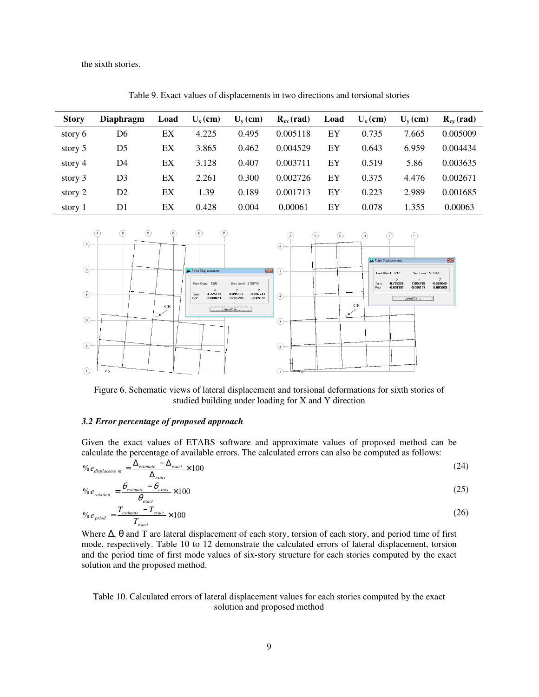the sixth stories.

| <b>Story</b> | <b>Diaphragm</b> | Load | $U_{x}$ (cm) | $U_{v}$ (cm) | $R_{zx}$ (rad) | Load | $U_{v}$ (cm) | $U_{v}$ (cm) | $R_{\text{zv}}$ (rad) |
|--------------|------------------|------|--------------|--------------|----------------|------|--------------|--------------|-----------------------|
| story 6      | D6               | ЕX   | 4.225        | 0.495        | 0.005118       | EY   | 0.735        | 7.665        | 0.005009              |
| story 5      | D5               | ЕX   | 3.865        | 0.462        | 0.004529       | EY   | 0.643        | 6.959        | 0.004434              |
| story 4      | D4               | ЕX   | 3.128        | 0.407        | 0.003711       | EY   | 0.519        | 5.86         | 0.003635              |
| story 3      | D3               | ЕX   | 2.261        | 0.300        | 0.002726       | EY   | 0.375        | 4.476        | 0.002671              |
| story 2      | D2               | ЕX   | 1.39         | 0.189        | 0.001713       | EY   | 0.223        | 2.989        | 0.001685              |
| story 1      | D1               | EX   | 0.428        | 0.004        | 0.00061        | EY   | 0.078        | 1.355        | 0.00063               |

Table 9. Exact values of displacements in two directions and torsional stories



Figure 6. Schematic views of lateral displacement and torsional deformations for sixth stories of studied building under loading for X and Y direction

#### *3.2 Error percentage of proposed approach*

Given the exact values of ETABS software and approximate values of proposed method can be calculate the percentage of available errors. The calculated errors can also be computed as follows:

$$
\%e_{\text{displaceme nt}} = \frac{\Delta_{\text{estimate}} - \Delta_{\text{exact}}}{\Delta_{\text{exact}}} \times 100\tag{24}
$$

$$
\% e_{rotation} = \frac{\theta_{estimate} - \theta_{exact}}{\theta_{exact}} \times 100
$$
\n(25)

$$
\%e_{\text{priod}} = \frac{T_{\text{estimate}} - T_{\text{exact}}}{T_{\text{exact}}} \times 100\tag{26}
$$

Where ∆, θ and T are lateral displacement of each story, torsion of each story, and period time of first mode, respectively. Table 10 to 12 demonstrate the calculated errors of lateral displacement, torsion and the period time of first mode values of six-story structure for each stories computed by the exact solution and the proposed method.

Table 10. Calculated errors of lateral displacement values for each stories computed by the exact solution and proposed method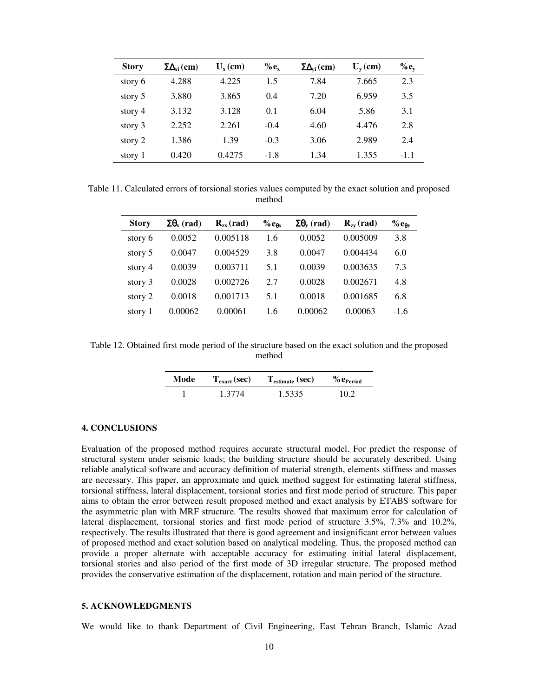| <b>Story</b> | $\Sigma\Delta_{xi}$ (cm) | $U_{\rm v}$ (cm) | $\%e_{x}$ | $\Sigma\Delta_{vi}$ (cm) | $U_{\rm v}$ (cm) | $% e_v$ |
|--------------|--------------------------|------------------|-----------|--------------------------|------------------|---------|
| story 6      | 4.288                    | 4.225            | 1.5       | 7.84                     | 7.665            | 2.3     |
| story 5      | 3.880                    | 3.865            | 0.4       | 7.20                     | 6.959            | 3.5     |
| story 4      | 3.132                    | 3.128            | 0.1       | 6.04                     | 5.86             | 3.1     |
| story 3      | 2.252                    | 2.261            | $-0.4$    | 4.60                     | 4.476            | 2.8     |
| story 2      | 1.386                    | 1.39             | $-0.3$    | 3.06                     | 2.989            | 2.4     |
| story 1      | 0.420                    | 0.4275           | $-1.8$    | 1.34                     | 1.355            | $-1.1$  |

Table 11. Calculated errors of torsional stories values computed by the exact solution and proposed method

| <b>Story</b> | $\Sigma\theta_{x}$ (rad) | $R_{zx}$ (rad) | % $e_{\theta x}$ | $\Sigma \theta$ <sub>v</sub> (rad) | $\mathbf{R}_{\text{zv}}$ (rad) | % $e_{\theta v}$ |
|--------------|--------------------------|----------------|------------------|------------------------------------|--------------------------------|------------------|
| story 6      | 0.0052                   | 0.005118       | 1.6              | 0.0052                             | 0.005009                       | 3.8              |
| story 5      | 0.0047                   | 0.004529       | 3.8              | 0.0047                             | 0.004434                       | 6.0              |
| story 4      | 0.0039                   | 0.003711       | 5.1              | 0.0039                             | 0.003635                       | 7.3              |
| story 3      | 0.0028                   | 0.002726       | 2.7              | 0.0028                             | 0.002671                       | 4.8              |
| story 2      | 0.0018                   | 0.001713       | 5.1              | 0.0018                             | 0.001685                       | 6.8              |
| story 1      | 0.00062                  | 0.00061        | 1.6              | 0.00062                            | 0.00063                        | $-1.6$           |

Table 12. Obtained first mode period of the structure based on the exact solution and the proposed method

| Mode | $Texact$ (sec) | $T_{\text{estimate}}\left(\text{sec}\right)$ | $%$ $e_{Period}$ |
|------|----------------|----------------------------------------------|------------------|
|      | 1.3774         | 1.5335                                       | 10 2             |

## **4. CONCLUSIONS**

Evaluation of the proposed method requires accurate structural model. For predict the response of structural system under seismic loads; the building structure should be accurately described. Using reliable analytical software and accuracy definition of material strength, elements stiffness and masses are necessary. This paper, an approximate and quick method suggest for estimating lateral stiffness, torsional stiffness, lateral displacement, torsional stories and first mode period of structure. This paper aims to obtain the error between result proposed method and exact analysis by ETABS software for the asymmetric plan with MRF structure. The results showed that maximum error for calculation of lateral displacement, torsional stories and first mode period of structure 3.5%, 7.3% and 10.2%, respectively. The results illustrated that there is good agreement and insignificant error between values of proposed method and exact solution based on analytical modeling. Thus, the proposed method can provide a proper alternate with acceptable accuracy for estimating initial lateral displacement, torsional stories and also period of the first mode of 3D irregular structure. The proposed method provides the conservative estimation of the displacement, rotation and main period of the structure.

#### **5. ACKNOWLEDGMENTS**

We would like to thank Department of Civil Engineering, East Tehran Branch, Islamic Azad